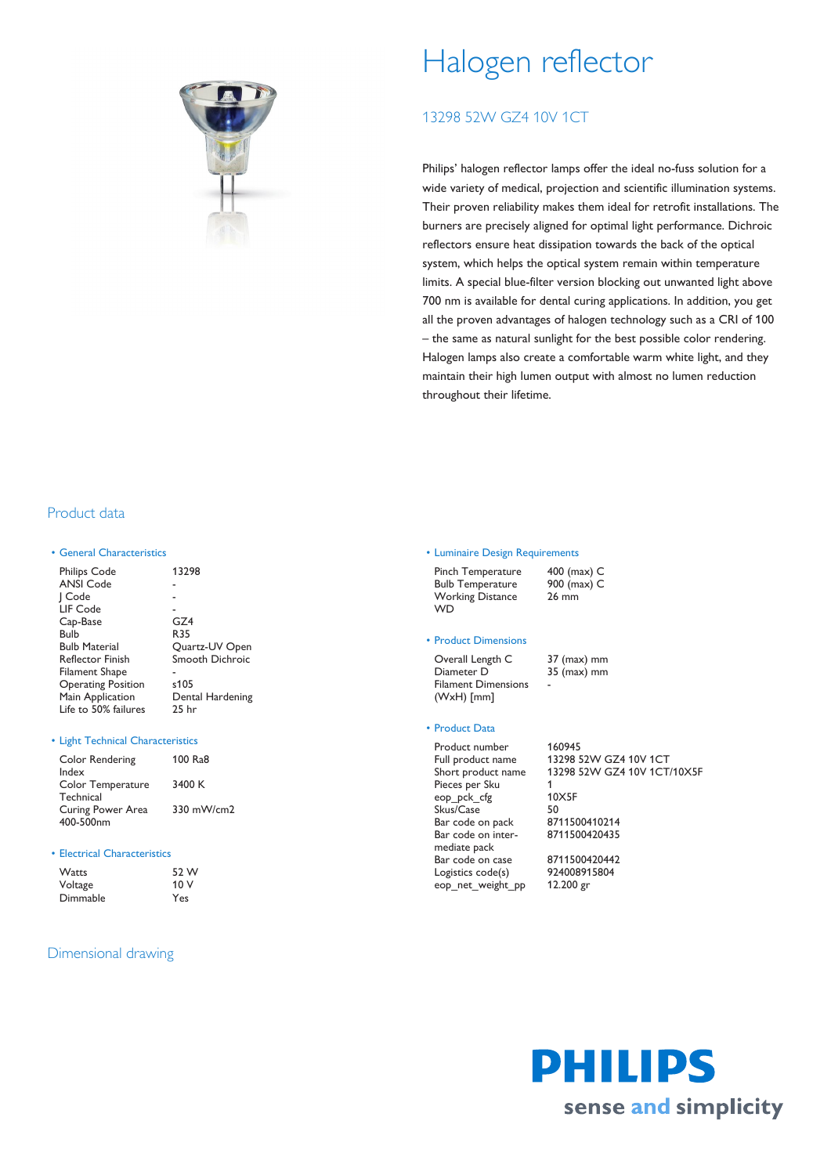

# Halogen reflector

## 13298 52W GZ4 10V 1CT

Philips' halogen reflector lamps offer the ideal no-fuss solution for a wide variety of medical, projection and scientific illumination systems. Their proven reliability makes them ideal for retrofit installations. The burners are precisely aligned for optimal light performance. Dichroic reflectors ensure heat dissipation towards the back of the optical system, which helps the optical system remain within temperature limits. A special blue-filter version blocking out unwanted light above 700 nm is available for dental curing applications. In addition, you get all the proven advantages of halogen technology such as a CRI of 100 – the same as natural sunlight for the best possible color rendering. Halogen lamps also create a comfortable warm white light, and they maintain their high lumen output with almost no lumen reduction throughout their lifetime.

## Product data

#### • General Characteristics

| <b>Philips Code</b>       | 13298            |
|---------------------------|------------------|
| <b>ANSI Code</b>          |                  |
| Code                      |                  |
| LIF Code                  |                  |
| Cap-Base                  | GZ4              |
| Bulb                      | R35              |
| <b>Bulb Material</b>      | Quartz-UV Open   |
| <b>Reflector Finish</b>   | Smooth Dichroic  |
| Filament Shape            |                  |
| <b>Operating Position</b> | s105             |
| Main Application          | Dental Hardening |
| Life to 50% failures      | 25 hr            |

#### • Light Technical Characteristics

| Color Rendering<br>Index       | 100 Ra8    |
|--------------------------------|------------|
| Color Temperature<br>Technical | 3400 K     |
| Curing Power Area<br>400-500nm | 330 mW/cm2 |

#### • Electrical Characteristics

| Watts    | 52 W |
|----------|------|
| Voltage  | 10V  |
| Dimmable | Yes  |

## Dimensional drawing

#### • Luminaire Design Requirements

| Pinch Temperature       | 400 (max) C |
|-------------------------|-------------|
| <b>Bulb Temperature</b> | 900 (max) C |
| <b>Working Distance</b> | $26$ mm     |
| <b>WD</b>               |             |

### • Product Dimensions

Overall Length C 37 (max) mm Diameter D 35 (max) mm Filament Dimensions (WxH) [mm] -

## • Product Data

Product number 160945 Pieces per Sku 1 eop\_pck\_cfg 10X5F Skus/Case 50<br>
Bar code on pack 8711500410214 Bar code on pack Bar code on intermediate pack Bar code on case 8711500420442 Logistics code(s) 924008915804 eop\_net\_weight\_pp 12.200 gr

Full product name 13298 52W GZ4 10V 1CT Short product name 13298 52W GZ4 10V 1CT/10X5F

8711500420435